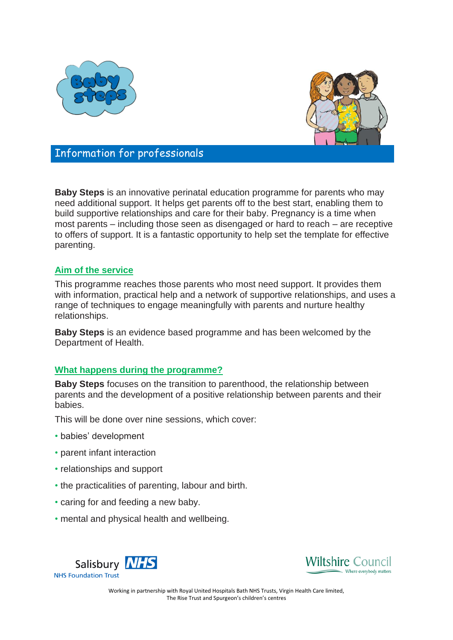



Information for professionals

**Baby Steps** is an innovative perinatal education programme for parents who may need additional support. It helps get parents off to the best start, enabling them to build supportive relationships and care for their baby. Pregnancy is a time when most parents – including those seen as disengaged or hard to reach – are receptive to offers of support. It is a fantastic opportunity to help set the template for effective parenting.

## **Aim of the service**

This programme reaches those parents who most need support. It provides them with information, practical help and a network of supportive relationships, and uses a range of techniques to engage meaningfully with parents and nurture healthy relationships.

**Baby Steps** is an evidence based programme and has been welcomed by the Department of Health.

## **What happens during the programme?**

**Baby Steps** focuses on the transition to parenthood, the relationship between parents and the development of a positive relationship between parents and their babies.

This will be done over nine sessions, which cover:

- babies' development
- parent infant interaction
- relationships and support
- the practicalities of parenting, labour and birth.
- caring for and feeding a new baby.
- mental and physical health and wellbeing.





Working in partnership with Royal United Hospitals Bath NHS Trusts, Virgin Health Care limited, The Rise Trust and Spurgeon's children's centres